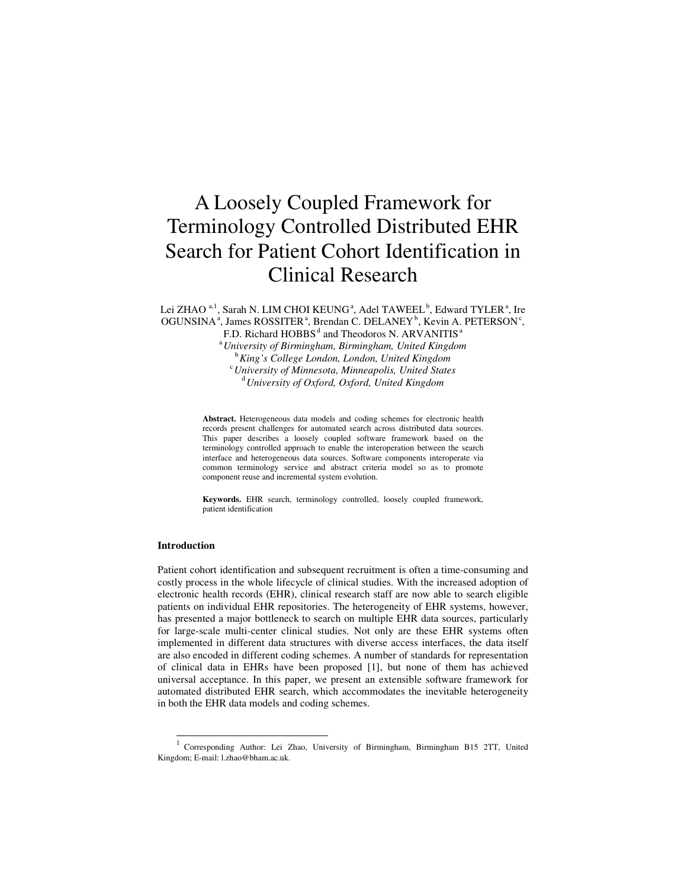# A Loosely Coupled Framework for Terminology Controlled Distributed EHR Search for Patient Cohort Identification in Clinical Research

Lei ZHAO <sup>a, 1</sup>, Sarah N. LIM CHOI KEUNG<sup>a</sup>, Adel TAWEEL<sup>b</sup>, Edward TYLER<sup>a</sup>, Ire OGUNSINA<sup>a</sup>, James ROSSITER<sup>a</sup>, Brendan C. DELANEY<sup>b</sup>, Kevin A. PETERSON<sup>c</sup>,

F.D. Richard  $HOBBS<sup>d</sup>$  and Theodoros N. ARVANITIS<sup>a</sup>

<sup>a</sup>*University of Birmingham, Birmingham, United Kingdom*  <sup>b</sup>*King's College London, London, United Kingdom*  <sup>c</sup>*University of Minnesota, Minneapolis, United States*  <sup>d</sup>*University of Oxford, Oxford, United Kingdom* 

**Abstract.** Heterogeneous data models and coding schemes for electronic health records present challenges for automated search across distributed data sources. This paper describes a loosely coupled software framework based on the terminology controlled approach to enable the interoperation between the search interface and heterogeneous data sources. Software components interoperate via common terminology service and abstract criteria model so as to promote component reuse and incremental system evolution.

**Keywords.** EHR search, terminology controlled, loosely coupled framework, patient identification

#### **Introduction**

Patient cohort identification and subsequent recruitment is often a time-consuming and costly process in the whole lifecycle of clinical studies. With the increased adoption of electronic health records (EHR), clinical research staff are now able to search eligible patients on individual EHR repositories. The heterogeneity of EHR systems, however, has presented a major bottleneck to search on multiple EHR data sources, particularly for large-scale multi-center clinical studies. Not only are these EHR systems often implemented in different data structures with diverse access interfaces, the data itself are also encoded in different coding schemes. A number of standards for representation of clinical data in EHRs have been proposed [1], but none of them has achieved universal acceptance. In this paper, we present an extensible software framework for automated distributed EHR search, which accommodates the inevitable heterogeneity in both the EHR data models and coding schemes.

<sup>1</sup> Corresponding Author: Lei Zhao, University of Birmingham, Birmingham B15 2TT, United Kingdom; E-mail: l.zhao@bham.ac.uk.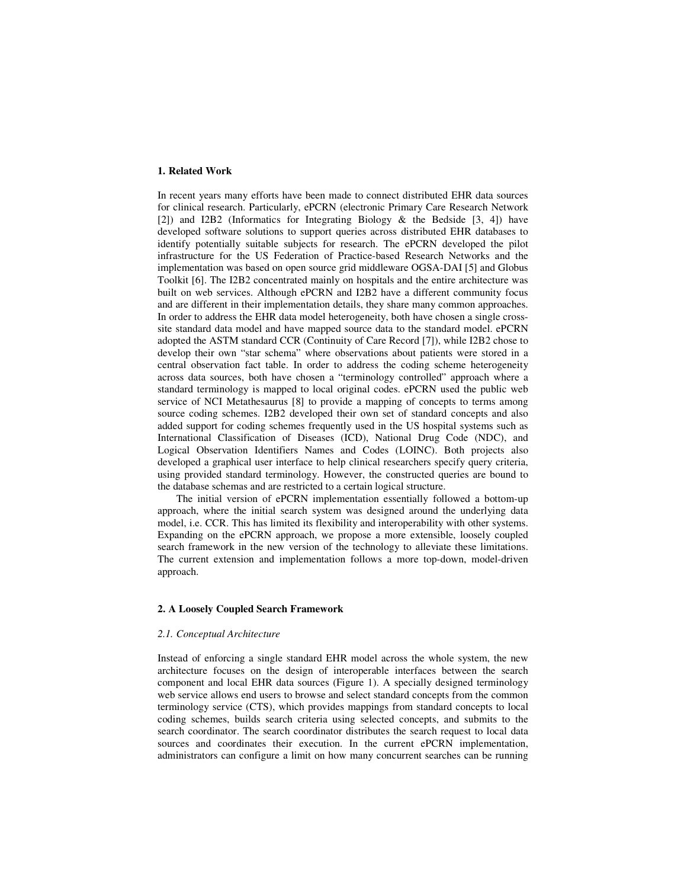## **1. Related Work**

In recent years many efforts have been made to connect distributed EHR data sources for clinical research. Particularly, ePCRN (electronic Primary Care Research Network [2]) and I2B2 (Informatics for Integrating Biology & the Bedside [3, 4]) have developed software solutions to support queries across distributed EHR databases to identify potentially suitable subjects for research. The ePCRN developed the pilot infrastructure for the US Federation of Practice-based Research Networks and the implementation was based on open source grid middleware OGSA-DAI [5] and Globus Toolkit [6]. The I2B2 concentrated mainly on hospitals and the entire architecture was built on web services. Although ePCRN and I2B2 have a different community focus and are different in their implementation details, they share many common approaches. In order to address the EHR data model heterogeneity, both have chosen a single crosssite standard data model and have mapped source data to the standard model. ePCRN adopted the ASTM standard CCR (Continuity of Care Record [7]), while I2B2 chose to develop their own "star schema" where observations about patients were stored in a central observation fact table. In order to address the coding scheme heterogeneity across data sources, both have chosen a "terminology controlled" approach where a standard terminology is mapped to local original codes. ePCRN used the public web service of NCI Metathesaurus [8] to provide a mapping of concepts to terms among source coding schemes. I2B2 developed their own set of standard concepts and also added support for coding schemes frequently used in the US hospital systems such as International Classification of Diseases (ICD), National Drug Code (NDC), and Logical Observation Identifiers Names and Codes (LOINC). Both projects also developed a graphical user interface to help clinical researchers specify query criteria, using provided standard terminology. However, the constructed queries are bound to the database schemas and are restricted to a certain logical structure.

The initial version of ePCRN implementation essentially followed a bottom-up approach, where the initial search system was designed around the underlying data model, i.e. CCR. This has limited its flexibility and interoperability with other systems. Expanding on the ePCRN approach, we propose a more extensible, loosely coupled search framework in the new version of the technology to alleviate these limitations. The current extension and implementation follows a more top-down, model-driven approach.

## **2. A Loosely Coupled Search Framework**

#### *2.1. Conceptual Architecture*

Instead of enforcing a single standard EHR model across the whole system, the new architecture focuses on the design of interoperable interfaces between the search component and local EHR data sources (Figure 1). A specially designed terminology web service allows end users to browse and select standard concepts from the common terminology service (CTS), which provides mappings from standard concepts to local coding schemes, builds search criteria using selected concepts, and submits to the search coordinator. The search coordinator distributes the search request to local data sources and coordinates their execution. In the current ePCRN implementation, administrators can configure a limit on how many concurrent searches can be running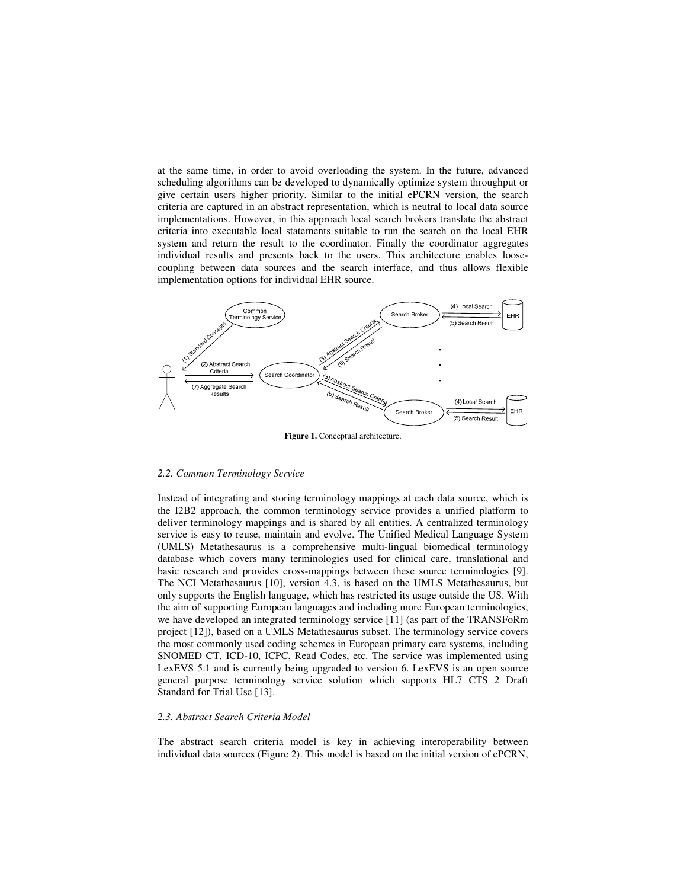at the same time, in order to avoid overloading the system. In the future, advanced scheduling algorithms can be developed to dynamically optimize system throughput or give certain users higher priority. Similar to the initial ePCRN version, the search criteria are captured in an abstract representation, which is neutral to local data source implementations. However, in this approach local search brokers translate the abstract criteria into executable local statements suitable to run the search on the local EHR system and return the result to the coordinator. Finally the coordinator aggregates individual results and presents back to the users. This architecture enables loosecoupling between data sources and the search interface, and thus allows flexible implementation options for individual EHR source.



**Figure 1.** Conceptual architecture.

#### *2.2. Common Terminology Service*

Instead of integrating and storing terminology mappings at each data source, which is the I2B2 approach, the common terminology service provides a unified platform to deliver terminology mappings and is shared by all entities. A centralized terminology service is easy to reuse, maintain and evolve. The Unified Medical Language System (UMLS) Metathesaurus is a comprehensive multi-lingual biomedical terminology database which covers many terminologies used for clinical care, translational and basic research and provides cross-mappings between these source terminologies [9]. The NCI Metathesaurus [10], version 4.3, is based on the UMLS Metathesaurus, but only supports the English language, which has restricted its usage outside the US. With the aim of supporting European languages and including more European terminologies, we have developed an integrated terminology service [11] (as part of the TRANSFoRm project [12]), based on a UMLS Metathesaurus subset. The terminology service covers the most commonly used coding schemes in European primary care systems, including SNOMED CT, ICD-10, ICPC, Read Codes, etc. The service was implemented using LexEVS 5.1 and is currently being upgraded to version 6. LexEVS is an open source general purpose terminology service solution which supports HL7 CTS 2 Draft Standard for Trial Use [13].

## *2.3. Abstract Search Criteria Model*

The abstract search criteria model is key in achieving interoperability between individual data sources (Figure 2). This model is based on the initial version of ePCRN,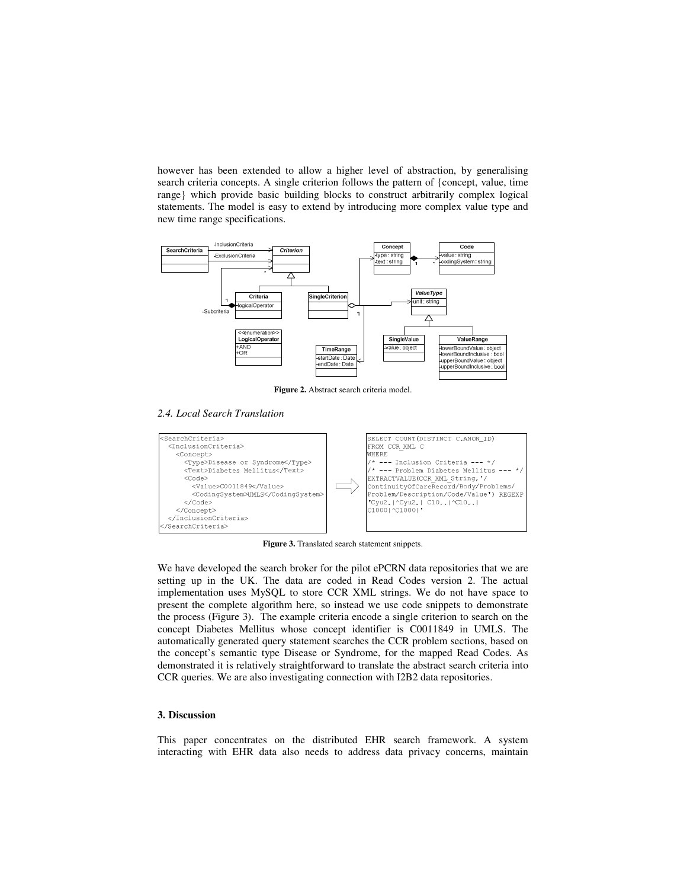however has been extended to allow a higher level of abstraction, by generalising search criteria concepts. A single criterion follows the pattern of {concept, value, time range} which provide basic building blocks to construct arbitrarily complex logical statements. The model is easy to extend by introducing more complex value type and new time range specifications.



**Figure 2.** Abstract search criteria model.

## *2.4. Local Search Translation*



**Figure 3.** Translated search statement snippets.

We have developed the search broker for the pilot ePCRN data repositories that we are setting up in the UK. The data are coded in Read Codes version 2. The actual implementation uses MySQL to store CCR XML strings. We do not have space to present the complete algorithm here, so instead we use code snippets to demonstrate the process (Figure 3). The example criteria encode a single criterion to search on the concept Diabetes Mellitus whose concept identifier is C0011849 in UMLS. The automatically generated query statement searches the CCR problem sections, based on the concept's semantic type Disease or Syndrome, for the mapped Read Codes. As demonstrated it is relatively straightforward to translate the abstract search criteria into CCR queries. We are also investigating connection with I2B2 data repositories.

## **3. Discussion**

This paper concentrates on the distributed EHR search framework. A system interacting with EHR data also needs to address data privacy concerns, maintain